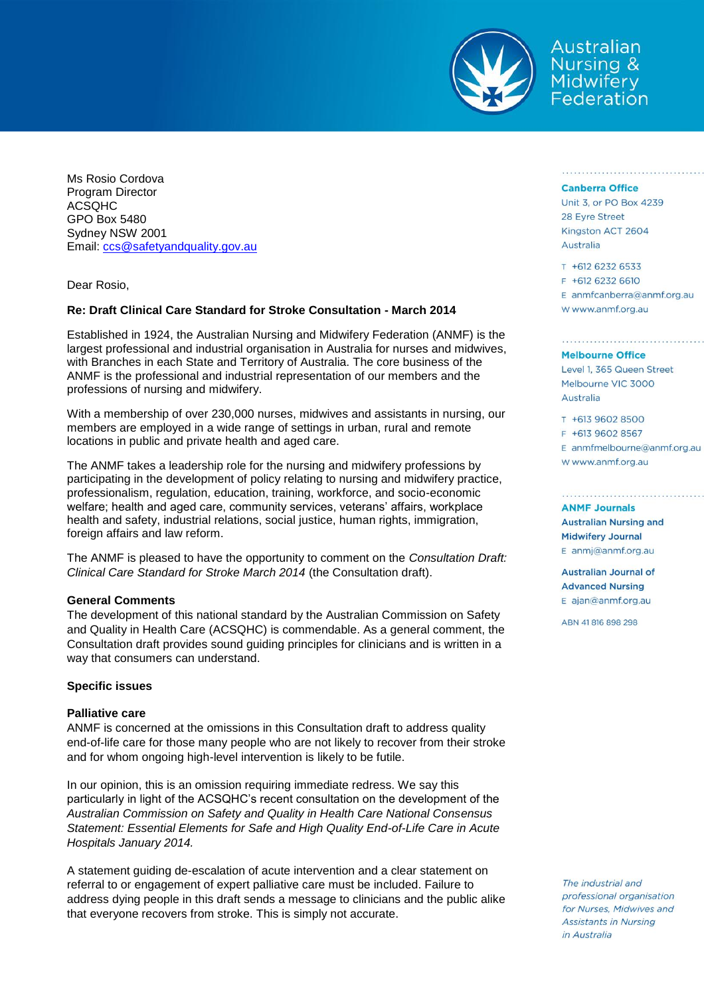

Australian **Nursing &** Midwifery<br>Federation

Ms Rosio Cordova Program Director ACSQHC GPO Box 5480 Sydney NSW 2001 Email: [ccs@safetyandquality.gov.au](mailto:ccs@safetyandquality.gov.au)

Dear Rosio,

# **Re: Draft Clinical Care Standard for Stroke Consultation - March 2014**

Established in 1924, the Australian Nursing and Midwifery Federation (ANMF) is the largest professional and industrial organisation in Australia for nurses and midwives, with Branches in each State and Territory of Australia. The core business of the ANMF is the professional and industrial representation of our members and the professions of nursing and midwifery.

With a membership of over 230,000 nurses, midwives and assistants in nursing, our members are employed in a wide range of settings in urban, rural and remote locations in public and private health and aged care.

The ANMF takes a leadership role for the nursing and midwifery professions by participating in the development of policy relating to nursing and midwifery practice, professionalism, regulation, education, training, workforce, and socio-economic welfare; health and aged care, community services, veterans' affairs, workplace health and safety, industrial relations, social justice, human rights, immigration, foreign affairs and law reform.

The ANMF is pleased to have the opportunity to comment on the *Consultation Draft: Clinical Care Standard for Stroke March 2014* (the Consultation draft).

# **General Comments**

The development of this national standard by the Australian Commission on Safety and Quality in Health Care (ACSQHC) is commendable. As a general comment, the Consultation draft provides sound guiding principles for clinicians and is written in a way that consumers can understand.

# **Specific issues**

### **Palliative care**

ANMF is concerned at the omissions in this Consultation draft to address quality end-of-life care for those many people who are not likely to recover from their stroke and for whom ongoing high-level intervention is likely to be futile.

In our opinion, this is an omission requiring immediate redress. We say this particularly in light of the ACSQHC's recent consultation on the development of the *Australian Commission on Safety and Quality in Health Care National Consensus Statement: Essential Elements for Safe and High Quality End-of-Life Care in Acute Hospitals January 2014.*

A statement guiding de-escalation of acute intervention and a clear statement on referral to or engagement of expert palliative care must be included. Failure to address dying people in this draft sends a message to clinicians and the public alike that everyone recovers from stroke. This is simply not accurate.

#### **Canberra Office**

Unit 3, or PO Box 4239 28 Eyre Street Kingston ACT 2604 Australia

T +612 6232 6533 F +612 6232 6610 E anmfcanberra@anmf.org.au W www.anmf.org.au

# **Melbourne Office**

Level 1, 365 Queen Street Melbourne VIC 3000 Australia

T +613 9602 8500 F +613 9602 8567 E anmfmelbourne@anmf.org.au W www.anmf.org.au

#### **ANMF Journals**

**Australian Nursing and Midwifery Journal** E anmj@anmf.org.au

**Australian Journal of Advanced Nursing** E ajan@anmf.org.au

ABN 41816898298

The industrial and professional organisation for Nurses, Midwives and **Assistants in Nursing** *in Australia*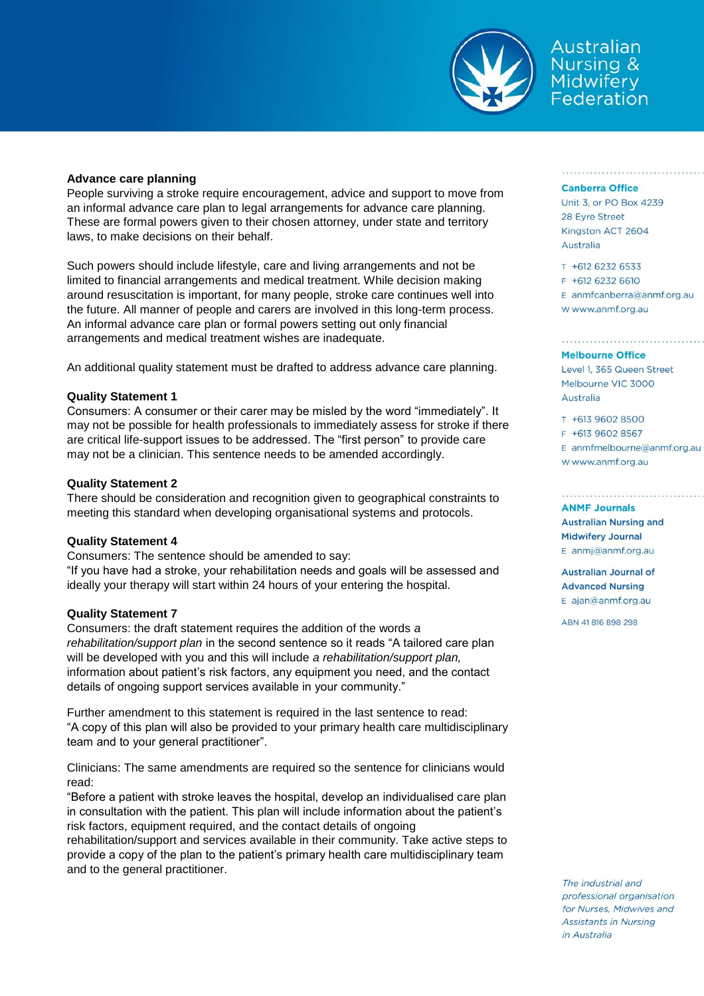

Australian Nursing & Midwifery<br>Federation

### **Advance care planning**

People surviving a stroke require encouragement, advice and support to move from an informal advance care plan to legal arrangements for advance care planning. These are formal powers given to their chosen attorney, under state and territory laws, to make decisions on their behalf.

Such powers should include lifestyle, care and living arrangements and not be limited to financial arrangements and medical treatment. While decision making around resuscitation is important, for many people, stroke care continues well into the future. All manner of people and carers are involved in this long-term process. An informal advance care plan or formal powers setting out only financial arrangements and medical treatment wishes are inadequate.

An additional quality statement must be drafted to address advance care planning.

## **Quality Statement 1**

Consumers: A consumer or their carer may be misled by the word "immediately". It may not be possible for health professionals to immediately assess for stroke if there are critical life-support issues to be addressed. The "first person" to provide care may not be a clinician. This sentence needs to be amended accordingly.

## **Quality Statement 2**

There should be consideration and recognition given to geographical constraints to meeting this standard when developing organisational systems and protocols.

# **Quality Statement 4**

Consumers: The sentence should be amended to say: "If you have had a stroke, your rehabilitation needs and goals will be assessed and ideally your therapy will start within 24 hours of your entering the hospital.

### **Quality Statement 7**

Consumers: the draft statement requires the addition of the words *a rehabilitation/support plan* in the second sentence so it reads "A tailored care plan will be developed with you and this will include *a rehabilitation/support plan,* information about patient's risk factors, any equipment you need, and the contact details of ongoing support services available in your community."

Further amendment to this statement is required in the last sentence to read: "A copy of this plan will also be provided to your primary health care multidisciplinary team and to your general practitioner".

Clinicians: The same amendments are required so the sentence for clinicians would read:

"Before a patient with stroke leaves the hospital, develop an individualised care plan in consultation with the patient. This plan will include information about the patient's risk factors, equipment required, and the contact details of ongoing

rehabilitation/support and services available in their community. Take active steps to provide a copy of the plan to the patient's primary health care multidisciplinary team and to the general practitioner.

#### **Canberra Office**

Unit 3, or PO Box 4239 28 Eyre Street Kingston ACT 2604 Australia

T +612 6232 6533 F +612 6232 6610 E anmfcanberra@anmf.org.au W www.anmf.org.au

**Melbourne Office** Level 1, 365 Queen Street Melbourne VIC 3000 Australia

T +613 9602 8500 F +613 9602 8567 E anmfmelbourne@anmf.org.au W www.anmf.org.au

#### **ANMF Journals**

**Australian Nursing and Midwifery Journal** E anmj@anmf.org.au

**Australian Journal of Advanced Nursing** E ajan@anmf.org.au

ABN 41816898298

The industrial and professional organisation for Nurses, Midwives and **Assistants in Nursing** in Australia